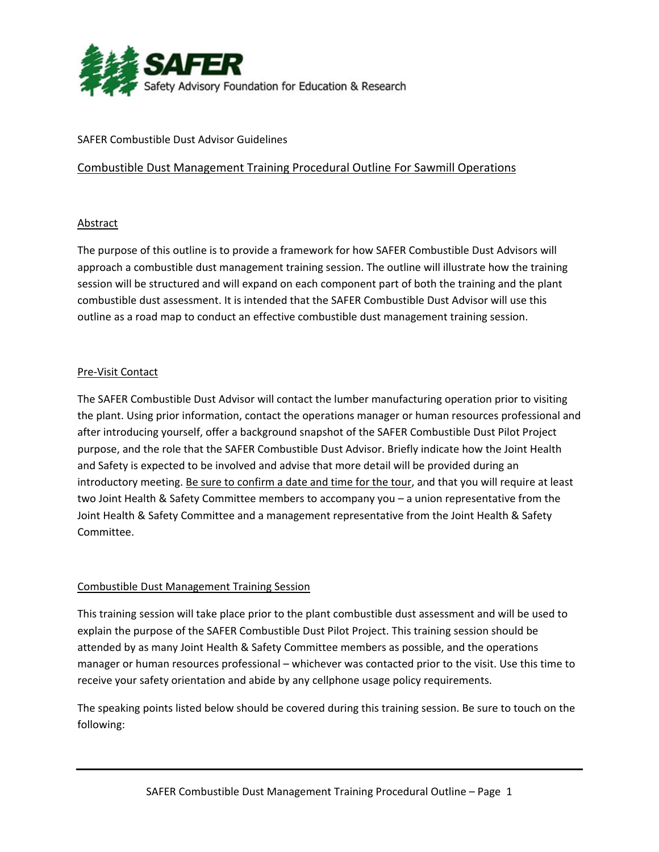

### SAFER Combustible Dust Advisor Guidelines

# Combustible Dust Management Training Procedural Outline For Sawmill Operations

### Abstract

The purpose of this outline is to provide a framework for how SAFER Combustible Dust Advisors will approach a combustible dust management training session. The outline will illustrate how the training session will be structured and will expand on each component part of both the training and the plant combustible dust assessment. It is intended that the SAFER Combustible Dust Advisor will use this outline as a road map to conduct an effective combustible dust management training session.

### Pre‐Visit Contact

The SAFER Combustible Dust Advisor will contact the lumber manufacturing operation prior to visiting the plant. Using prior information, contact the operations manager or human resources professional and after introducing yourself, offer a background snapshot of the SAFER Combustible Dust Pilot Project purpose, and the role that the SAFER Combustible Dust Advisor. Briefly indicate how the Joint Health and Safety is expected to be involved and advise that more detail will be provided during an introductory meeting. Be sure to confirm a date and time for the tour, and that you will require at least two Joint Health & Safety Committee members to accompany you – a union representative from the Joint Health & Safety Committee and a management representative from the Joint Health & Safety Committee.

#### Combustible Dust Management Training Session

This training session will take place prior to the plant combustible dust assessment and will be used to explain the purpose of the SAFER Combustible Dust Pilot Project. This training session should be attended by as many Joint Health & Safety Committee members as possible, and the operations manager or human resources professional – whichever was contacted prior to the visit. Use this time to receive your safety orientation and abide by any cellphone usage policy requirements.

The speaking points listed below should be covered during this training session. Be sure to touch on the following: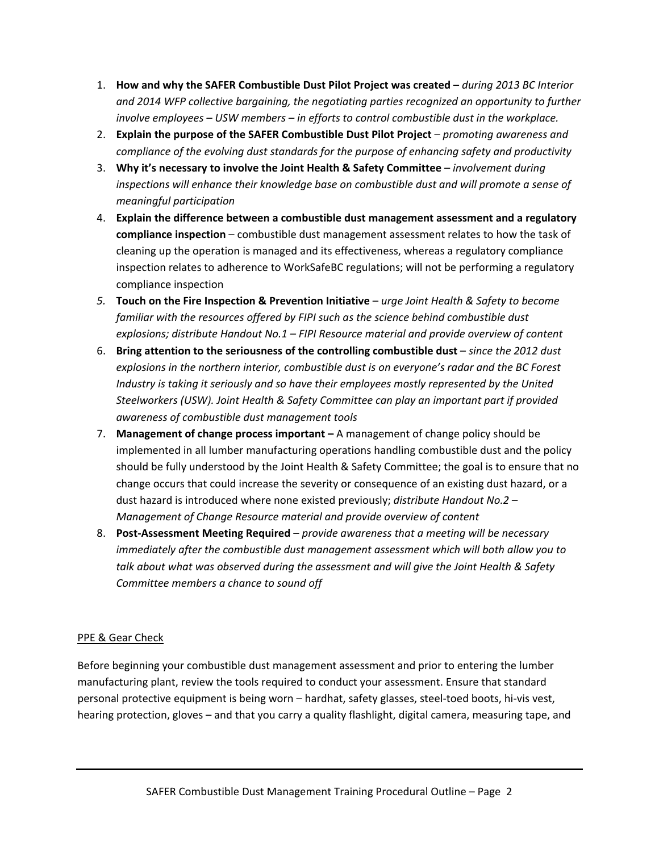- 1. **How and why the SAFER Combustible Dust Pilot Project was created** *during 2013 BC Interior and 2014 WFP collective bargaining, the negotiating parties recognized an opportunity to further involve employees – USW members – in efforts to control combustible dust in the workplace.*
- 2. **Explain the purpose of the SAFER Combustible Dust Pilot Project** *promoting awareness and compliance of the evolving dust standards for the purpose of enhancing safety and productivity*
- 3. **Why it's necessary to involve the Joint Health & Safety Committee** *involvement during inspections will enhance their knowledge base on combustible dust and will promote a sense of meaningful participation*
- 4. **Explain the difference between a combustible dust management assessment and a regulatory compliance inspection** – combustible dust management assessment relates to how the task of cleaning up the operation is managed and its effectiveness, whereas a regulatory compliance inspection relates to adherence to WorkSafeBC regulations; will not be performing a regulatory compliance inspection
- *5.* **Touch on the Fire Inspection & Prevention Initiative** *urge Joint Health & Safety to become familiar with the resources offered by FIPI such as the science behind combustible dust explosions; distribute Handout No.1 – FIPI Resource material and provide overview of content*
- 6. **Bring attention to the seriousness of the controlling combustible dust** *since the 2012 dust explosions in the northern interior, combustible dust is on everyone's radar and the BC Forest Industry is taking it seriously and so have their employees mostly represented by the United Steelworkers (USW). Joint Health & Safety Committee can play an important part if provided awareness of combustible dust management tools*
- 7. **Management of change process important –** A management of change policy should be implemented in all lumber manufacturing operations handling combustible dust and the policy should be fully understood by the Joint Health & Safety Committee; the goal is to ensure that no change occurs that could increase the severity or consequence of an existing dust hazard, or a dust hazard is introduced where none existed previously; *distribute Handout No.2 – Management of Change Resource material and provide overview of content*
- 8. **Post‐Assessment Meeting Required** *provide awareness that a meeting will be necessary immediately after the combustible dust management assessment which will both allow you to talk about what was observed during the assessment and will give the Joint Health & Safety Committee members a chance to sound off*

## PPE & Gear Check

Before beginning your combustible dust management assessment and prior to entering the lumber manufacturing plant, review the tools required to conduct your assessment. Ensure that standard personal protective equipment is being worn – hardhat, safety glasses, steel-toed boots, hi-vis vest, hearing protection, gloves – and that you carry a quality flashlight, digital camera, measuring tape, and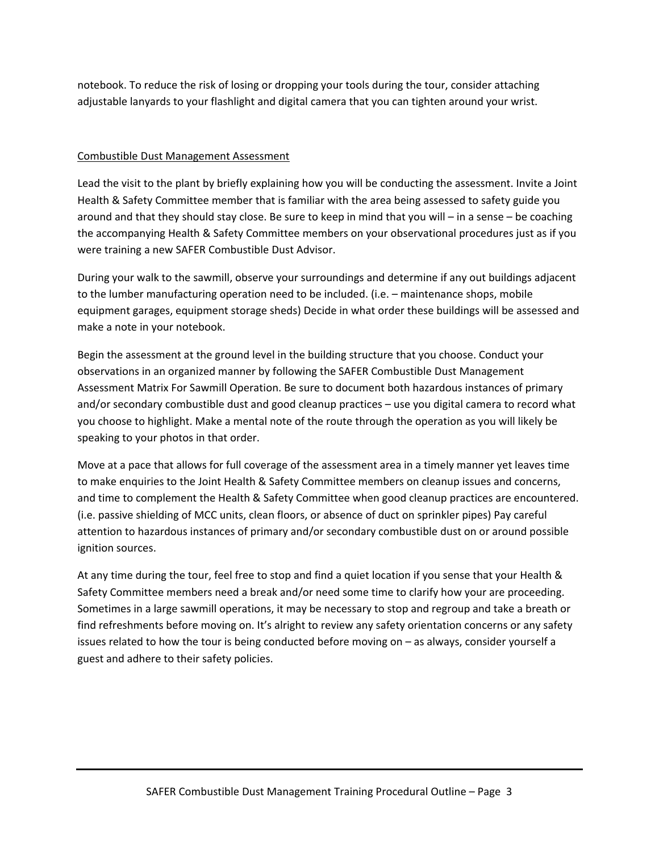notebook. To reduce the risk of losing or dropping your tools during the tour, consider attaching adjustable lanyards to your flashlight and digital camera that you can tighten around your wrist.

## Combustible Dust Management Assessment

Lead the visit to the plant by briefly explaining how you will be conducting the assessment. Invite a Joint Health & Safety Committee member that is familiar with the area being assessed to safety guide you around and that they should stay close. Be sure to keep in mind that you will – in a sense – be coaching the accompanying Health & Safety Committee members on your observational procedures just as if you were training a new SAFER Combustible Dust Advisor.

During your walk to the sawmill, observe your surroundings and determine if any out buildings adjacent to the lumber manufacturing operation need to be included. (i.e. – maintenance shops, mobile equipment garages, equipment storage sheds) Decide in what order these buildings will be assessed and make a note in your notebook.

Begin the assessment at the ground level in the building structure that you choose. Conduct your observations in an organized manner by following the SAFER Combustible Dust Management Assessment Matrix For Sawmill Operation. Be sure to document both hazardous instances of primary and/or secondary combustible dust and good cleanup practices – use you digital camera to record what you choose to highlight. Make a mental note of the route through the operation as you will likely be speaking to your photos in that order.

Move at a pace that allows for full coverage of the assessment area in a timely manner yet leaves time to make enquiries to the Joint Health & Safety Committee members on cleanup issues and concerns, and time to complement the Health & Safety Committee when good cleanup practices are encountered. (i.e. passive shielding of MCC units, clean floors, or absence of duct on sprinkler pipes) Pay careful attention to hazardous instances of primary and/or secondary combustible dust on or around possible ignition sources.

At any time during the tour, feel free to stop and find a quiet location if you sense that your Health & Safety Committee members need a break and/or need some time to clarify how your are proceeding. Sometimes in a large sawmill operations, it may be necessary to stop and regroup and take a breath or find refreshments before moving on. It's alright to review any safety orientation concerns or any safety issues related to how the tour is being conducted before moving on – as always, consider yourself a guest and adhere to their safety policies.